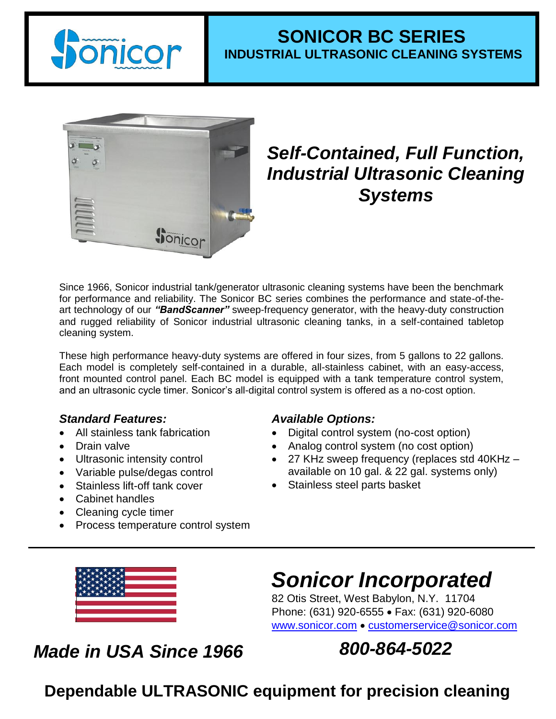

## **SONICOR BC SERIES INDUSTRIAL ULTRASONIC CLEANING SYSTEMS**



# *Self-Contained, Full Function, Industrial Ultrasonic Cleaning Systems*

Since 1966, Sonicor industrial tank/generator ultrasonic cleaning systems have been the benchmark for performance and reliability. The Sonicor BC series combines the performance and state-of-theart technology of our *"BandScanner"* sweep-frequency generator, with the heavy-duty construction and rugged reliability of Sonicor industrial ultrasonic cleaning tanks, in a self-contained tabletop cleaning system.

These high performance heavy-duty systems are offered in four sizes, from 5 gallons to 22 gallons. Each model is completely self-contained in a durable, all-stainless cabinet, with an easy-access, front mounted control panel. Each BC model is equipped with a tank temperature control system, and an ultrasonic cycle timer. Sonicor's all-digital control system is offered as a no-cost option.

#### *Standard Features:*

- All stainless tank fabrication
- Drain valve
- Ultrasonic intensity control
- Variable pulse/degas control
- Stainless lift-off tank cover
- Cabinet handles
- Cleaning cycle timer
- Process temperature control system

#### *Available Options:*

- Digital control system (no-cost option)
- Analog control system (no cost option)
- 27 KHz sweep frequency (replaces std 40KHz available on 10 gal. & 22 gal. systems only)
- Stainless steel parts basket



# *Sonicor Incorporated*

82 Otis Street, West Babylon, N.Y. 11704 Phone: (631) 920-6555 · Fax: (631) 920-6080 [www.sonicor.com](http://www.sonicor.com/) • [customerservice@sonicor.com](mailto:customerservice@sonicor.com)

# *Made in USA Since 1966*

*800-864-5022*

**Dependable ULTRASONIC equipment for precision cleaning**